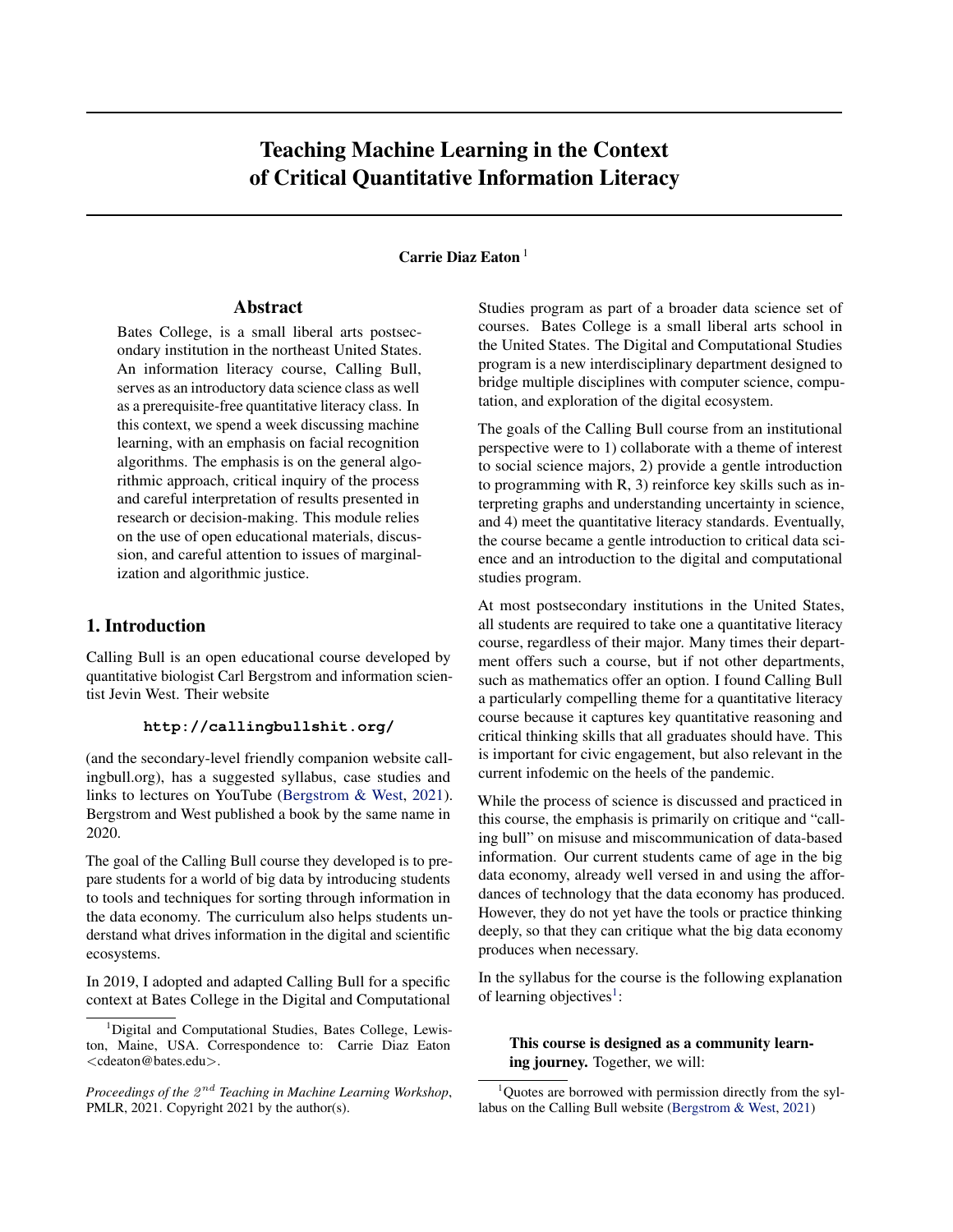# Teaching Machine Learning in the Context of Critical Quantitative Information Literacy

# Carrie Diaz Eaton<sup>1</sup>

## Abstract

Bates College, is a small liberal arts postsecondary institution in the northeast United States. An information literacy course, Calling Bull, serves as an introductory data science class as well as a prerequisite-free quantitative literacy class. In this context, we spend a week discussing machine learning, with an emphasis on facial recognition algorithms. The emphasis is on the general algorithmic approach, critical inquiry of the process and careful interpretation of results presented in research or decision-making. This module relies on the use of open educational materials, discussion, and careful attention to issues of marginalization and algorithmic justice.

# 1. Introduction

Calling Bull is an open educational course developed by quantitative biologist Carl Bergstrom and information scientist Jevin West. Their website

### **http://callingbullshit.org/**

(and the secondary-level friendly companion website callingbull.org), has a suggested syllabus, case studies and links to lectures on YouTube [\(Bergstrom & West,](#page-4-0) [2021\)](#page-4-0). Bergstrom and West published a book by the same name in 2020.

The goal of the Calling Bull course they developed is to prepare students for a world of big data by introducing students to tools and techniques for sorting through information in the data economy. The curriculum also helps students understand what drives information in the digital and scientific ecosystems.

In 2019, I adopted and adapted Calling Bull for a specific context at Bates College in the Digital and Computational Studies program as part of a broader data science set of courses. Bates College is a small liberal arts school in the United States. The Digital and Computational Studies program is a new interdisciplinary department designed to bridge multiple disciplines with computer science, computation, and exploration of the digital ecosystem.

The goals of the Calling Bull course from an institutional perspective were to 1) collaborate with a theme of interest to social science majors, 2) provide a gentle introduction to programming with R, 3) reinforce key skills such as interpreting graphs and understanding uncertainty in science, and 4) meet the quantitative literacy standards. Eventually, the course became a gentle introduction to critical data science and an introduction to the digital and computational studies program.

At most postsecondary institutions in the United States, all students are required to take one a quantitative literacy course, regardless of their major. Many times their department offers such a course, but if not other departments, such as mathematics offer an option. I found Calling Bull a particularly compelling theme for a quantitative literacy course because it captures key quantitative reasoning and critical thinking skills that all graduates should have. This is important for civic engagement, but also relevant in the current infodemic on the heels of the pandemic.

While the process of science is discussed and practiced in this course, the emphasis is primarily on critique and "calling bull" on misuse and miscommunication of data-based information. Our current students came of age in the big data economy, already well versed in and using the affordances of technology that the data economy has produced. However, they do not yet have the tools or practice thinking deeply, so that they can critique what the big data economy produces when necessary.

In the syllabus for the course is the following explanation of learning objectives<sup>1</sup>:

## This course is designed as a community learning journey. Together, we will:

<sup>&</sup>lt;sup>1</sup>Digital and Computational Studies, Bates College, Lewiston, Maine, USA. Correspondence to: Carrie Diaz Eaton <cdeaton@bates.edu>.

Proceedings of the  $2^{nd}$  Teaching in Machine Learning Workshop, PMLR, 2021. Copyright 2021 by the author(s).

 $1$ Quotes are borrowed with permission directly from the syllabus on the Calling Bull website [\(Bergstrom & West,](#page-4-0) [2021\)](#page-4-0)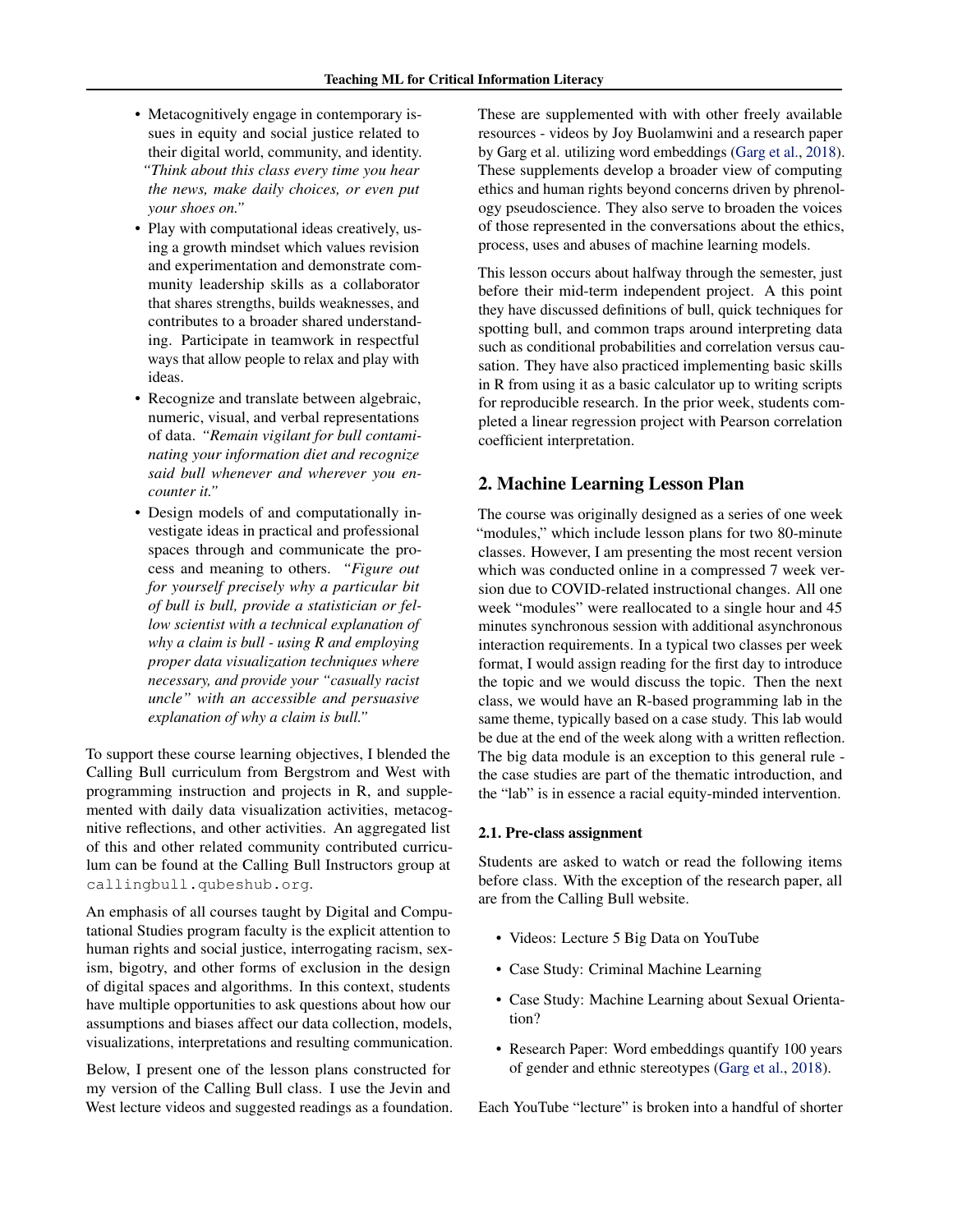- Metacognitively engage in contemporary issues in equity and social justice related to their digital world, community, and identity. *"Think about this class every time you hear the news, make daily choices, or even put your shoes on."*
- Play with computational ideas creatively, using a growth mindset which values revision and experimentation and demonstrate community leadership skills as a collaborator that shares strengths, builds weaknesses, and contributes to a broader shared understanding. Participate in teamwork in respectful ways that allow people to relax and play with ideas.
- Recognize and translate between algebraic, numeric, visual, and verbal representations of data. *"Remain vigilant for bull contaminating your information diet and recognize said bull whenever and wherever you encounter it."*
- Design models of and computationally investigate ideas in practical and professional spaces through and communicate the process and meaning to others. *"Figure out for yourself precisely why a particular bit of bull is bull, provide a statistician or fellow scientist with a technical explanation of why a claim is bull - using R and employing proper data visualization techniques where necessary, and provide your "casually racist uncle" with an accessible and persuasive explanation of why a claim is bull."*

To support these course learning objectives, I blended the Calling Bull curriculum from Bergstrom and West with programming instruction and projects in R, and supplemented with daily data visualization activities, metacognitive reflections, and other activities. An aggregated list of this and other related community contributed curriculum can be found at the Calling Bull Instructors group at callingbull.qubeshub.org.

An emphasis of all courses taught by Digital and Computational Studies program faculty is the explicit attention to human rights and social justice, interrogating racism, sexism, bigotry, and other forms of exclusion in the design of digital spaces and algorithms. In this context, students have multiple opportunities to ask questions about how our assumptions and biases affect our data collection, models, visualizations, interpretations and resulting communication.

Below, I present one of the lesson plans constructed for my version of the Calling Bull class. I use the Jevin and West lecture videos and suggested readings as a foundation. These are supplemented with with other freely available resources - videos by Joy Buolamwini and a research paper by Garg et al. utilizing word embeddings [\(Garg et al.,](#page-4-0) [2018\)](#page-4-0). These supplements develop a broader view of computing ethics and human rights beyond concerns driven by phrenology pseudoscience. They also serve to broaden the voices of those represented in the conversations about the ethics, process, uses and abuses of machine learning models.

This lesson occurs about halfway through the semester, just before their mid-term independent project. A this point they have discussed definitions of bull, quick techniques for spotting bull, and common traps around interpreting data such as conditional probabilities and correlation versus causation. They have also practiced implementing basic skills in R from using it as a basic calculator up to writing scripts for reproducible research. In the prior week, students completed a linear regression project with Pearson correlation coefficient interpretation.

## 2. Machine Learning Lesson Plan

The course was originally designed as a series of one week "modules," which include lesson plans for two 80-minute classes. However, I am presenting the most recent version which was conducted online in a compressed 7 week version due to COVID-related instructional changes. All one week "modules" were reallocated to a single hour and 45 minutes synchronous session with additional asynchronous interaction requirements. In a typical two classes per week format, I would assign reading for the first day to introduce the topic and we would discuss the topic. Then the next class, we would have an R-based programming lab in the same theme, typically based on a case study. This lab would be due at the end of the week along with a written reflection. The big data module is an exception to this general rule the case studies are part of the thematic introduction, and the "lab" is in essence a racial equity-minded intervention.

#### 2.1. Pre-class assignment

Students are asked to watch or read the following items before class. With the exception of the research paper, all are from the Calling Bull website.

- Videos: Lecture 5 Big Data on YouTube
- Case Study: Criminal Machine Learning
- Case Study: Machine Learning about Sexual Orientation?
- Research Paper: Word embeddings quantify 100 years of gender and ethnic stereotypes [\(Garg et al.,](#page-4-0) [2018\)](#page-4-0).

Each YouTube "lecture" is broken into a handful of shorter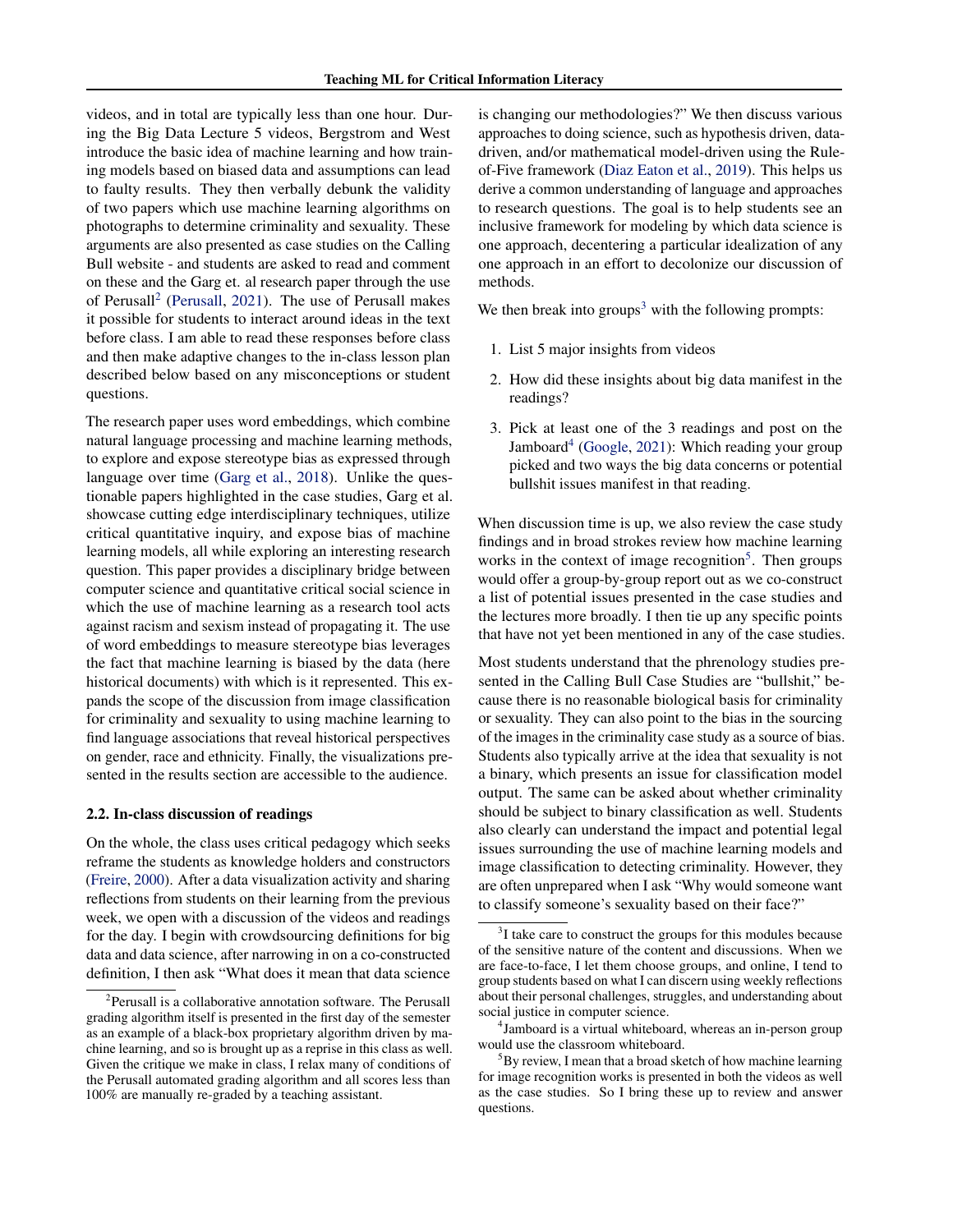videos, and in total are typically less than one hour. During the Big Data Lecture 5 videos, Bergstrom and West introduce the basic idea of machine learning and how training models based on biased data and assumptions can lead to faulty results. They then verbally debunk the validity of two papers which use machine learning algorithms on photographs to determine criminality and sexuality. These arguments are also presented as case studies on the Calling Bull website - and students are asked to read and comment on these and the Garg et. al research paper through the use of Perusall<sup>2</sup> [\(Perusall,](#page-5-0) [2021\)](#page-5-0). The use of Perusall makes it possible for students to interact around ideas in the text before class. I am able to read these responses before class and then make adaptive changes to the in-class lesson plan described below based on any misconceptions or student questions.

The research paper uses word embeddings, which combine natural language processing and machine learning methods, to explore and expose stereotype bias as expressed through language over time [\(Garg et al.,](#page-4-0) [2018\)](#page-4-0). Unlike the questionable papers highlighted in the case studies, Garg et al. showcase cutting edge interdisciplinary techniques, utilize critical quantitative inquiry, and expose bias of machine learning models, all while exploring an interesting research question. This paper provides a disciplinary bridge between computer science and quantitative critical social science in which the use of machine learning as a research tool acts against racism and sexism instead of propagating it. The use of word embeddings to measure stereotype bias leverages the fact that machine learning is biased by the data (here historical documents) with which is it represented. This expands the scope of the discussion from image classification for criminality and sexuality to using machine learning to find language associations that reveal historical perspectives on gender, race and ethnicity. Finally, the visualizations presented in the results section are accessible to the audience.

#### 2.2. In-class discussion of readings

On the whole, the class uses critical pedagogy which seeks reframe the students as knowledge holders and constructors [\(Freire,](#page-4-0) [2000\)](#page-4-0). After a data visualization activity and sharing reflections from students on their learning from the previous week, we open with a discussion of the videos and readings for the day. I begin with crowdsourcing definitions for big data and data science, after narrowing in on a co-constructed definition, I then ask "What does it mean that data science

is changing our methodologies?" We then discuss various approaches to doing science, such as hypothesis driven, datadriven, and/or mathematical model-driven using the Ruleof-Five framework [\(Diaz Eaton et al.,](#page-4-0) [2019\)](#page-4-0). This helps us derive a common understanding of language and approaches to research questions. The goal is to help students see an inclusive framework for modeling by which data science is one approach, decentering a particular idealization of any one approach in an effort to decolonize our discussion of methods.

We then break into groups<sup>3</sup> with the following prompts:

- 1. List 5 major insights from videos
- 2. How did these insights about big data manifest in the readings?
- 3. Pick at least one of the 3 readings and post on the Jamboard<sup>4</sup> [\(Google,](#page-4-0) [2021\)](#page-4-0): Which reading your group picked and two ways the big data concerns or potential bullshit issues manifest in that reading.

When discussion time is up, we also review the case study findings and in broad strokes review how machine learning works in the context of image recognition<sup>5</sup>. Then groups would offer a group-by-group report out as we co-construct a list of potential issues presented in the case studies and the lectures more broadly. I then tie up any specific points that have not yet been mentioned in any of the case studies.

Most students understand that the phrenology studies presented in the Calling Bull Case Studies are "bullshit," because there is no reasonable biological basis for criminality or sexuality. They can also point to the bias in the sourcing of the images in the criminality case study as a source of bias. Students also typically arrive at the idea that sexuality is not a binary, which presents an issue for classification model output. The same can be asked about whether criminality should be subject to binary classification as well. Students also clearly can understand the impact and potential legal issues surrounding the use of machine learning models and image classification to detecting criminality. However, they are often unprepared when I ask "Why would someone want to classify someone's sexuality based on their face?"

<sup>&</sup>lt;sup>2</sup>Perusall is a collaborative annotation software. The Perusall grading algorithm itself is presented in the first day of the semester as an example of a black-box proprietary algorithm driven by machine learning, and so is brought up as a reprise in this class as well. Given the critique we make in class, I relax many of conditions of the Perusall automated grading algorithm and all scores less than 100% are manually re-graded by a teaching assistant.

 $3I$  take care to construct the groups for this modules because of the sensitive nature of the content and discussions. When we are face-to-face, I let them choose groups, and online, I tend to group students based on what I can discern using weekly reflections about their personal challenges, struggles, and understanding about social justice in computer science.

<sup>&</sup>lt;sup>4</sup> Jamboard is a virtual whiteboard, whereas an in-person group would use the classroom whiteboard.

By review, I mean that a broad sketch of how machine learning for image recognition works is presented in both the videos as well as the case studies. So I bring these up to review and answer questions.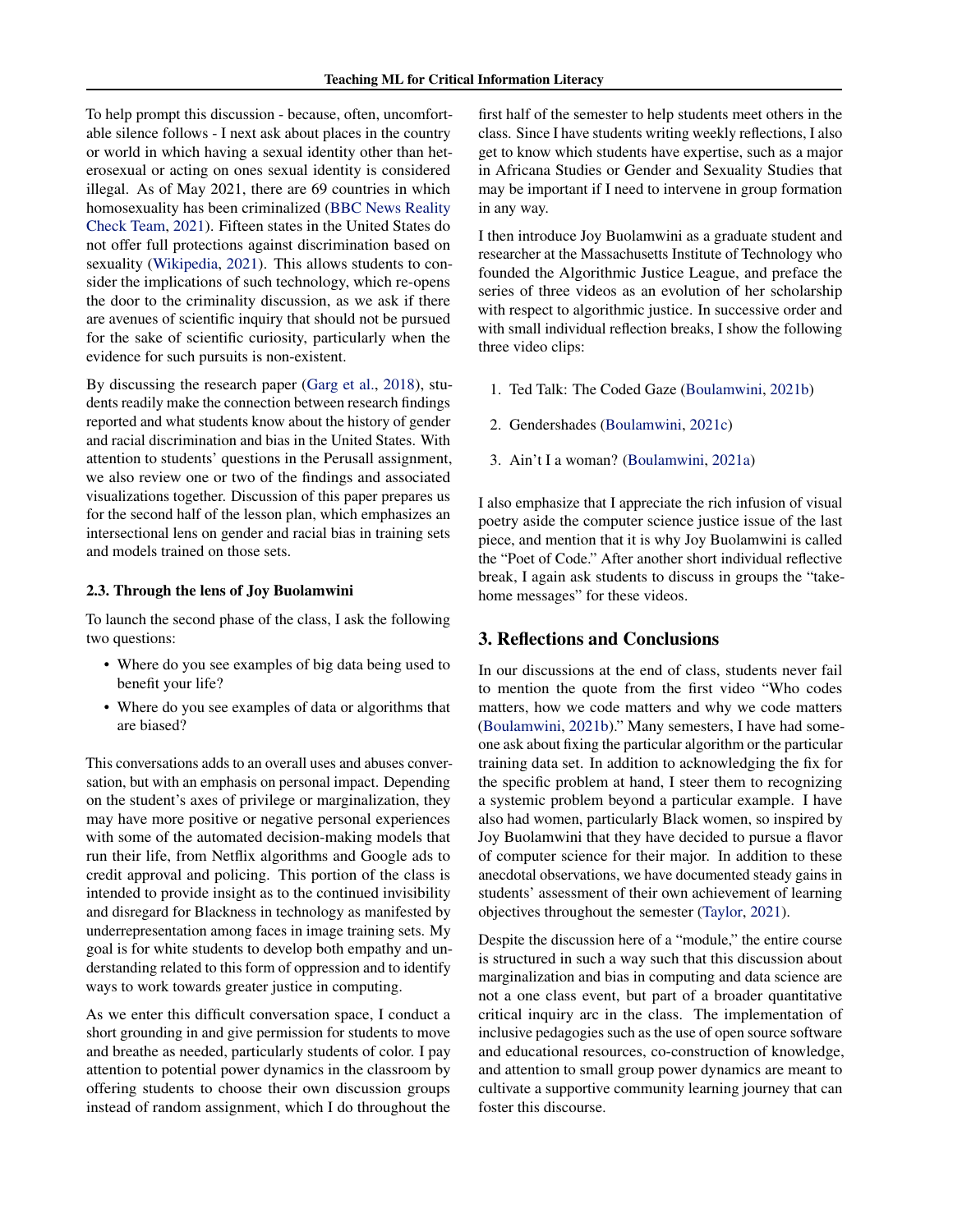To help prompt this discussion - because, often, uncomfortable silence follows - I next ask about places in the country or world in which having a sexual identity other than heterosexual or acting on ones sexual identity is considered illegal. As of May 2021, there are 69 countries in which homosexuality has been criminalized [\(BBC News Reality](#page-4-0) [Check Team,](#page-4-0) [2021\)](#page-4-0). Fifteen states in the United States do not offer full protections against discrimination based on sexuality [\(Wikipedia,](#page-5-0) [2021\)](#page-5-0). This allows students to consider the implications of such technology, which re-opens the door to the criminality discussion, as we ask if there are avenues of scientific inquiry that should not be pursued for the sake of scientific curiosity, particularly when the evidence for such pursuits is non-existent.

By discussing the research paper [\(Garg et al.,](#page-4-0) [2018\)](#page-4-0), students readily make the connection between research findings reported and what students know about the history of gender and racial discrimination and bias in the United States. With attention to students' questions in the Perusall assignment, we also review one or two of the findings and associated visualizations together. Discussion of this paper prepares us for the second half of the lesson plan, which emphasizes an intersectional lens on gender and racial bias in training sets and models trained on those sets.

#### 2.3. Through the lens of Joy Buolamwini

To launch the second phase of the class, I ask the following two questions:

- Where do you see examples of big data being used to benefit your life?
- Where do you see examples of data or algorithms that are biased?

This conversations adds to an overall uses and abuses conversation, but with an emphasis on personal impact. Depending on the student's axes of privilege or marginalization, they may have more positive or negative personal experiences with some of the automated decision-making models that run their life, from Netflix algorithms and Google ads to credit approval and policing. This portion of the class is intended to provide insight as to the continued invisibility and disregard for Blackness in technology as manifested by underrepresentation among faces in image training sets. My goal is for white students to develop both empathy and understanding related to this form of oppression and to identify ways to work towards greater justice in computing.

As we enter this difficult conversation space, I conduct a short grounding in and give permission for students to move and breathe as needed, particularly students of color. I pay attention to potential power dynamics in the classroom by offering students to choose their own discussion groups instead of random assignment, which I do throughout the

first half of the semester to help students meet others in the class. Since I have students writing weekly reflections, I also get to know which students have expertise, such as a major in Africana Studies or Gender and Sexuality Studies that may be important if I need to intervene in group formation in any way.

I then introduce Joy Buolamwini as a graduate student and researcher at the Massachusetts Institute of Technology who founded the Algorithmic Justice League, and preface the series of three videos as an evolution of her scholarship with respect to algorithmic justice. In successive order and with small individual reflection breaks, I show the following three video clips:

- 1. Ted Talk: The Coded Gaze [\(Boulamwini,](#page-4-0) [2021b\)](#page-4-0)
- 2. Gendershades [\(Boulamwini,](#page-4-0) [2021c\)](#page-4-0)
- 3. Ain't I a woman? [\(Boulamwini,](#page-4-0) [2021a\)](#page-4-0)

I also emphasize that I appreciate the rich infusion of visual poetry aside the computer science justice issue of the last piece, and mention that it is why Joy Buolamwini is called the "Poet of Code." After another short individual reflective break, I again ask students to discuss in groups the "takehome messages" for these videos.

#### 3. Reflections and Conclusions

In our discussions at the end of class, students never fail to mention the quote from the first video "Who codes matters, how we code matters and why we code matters [\(Boulamwini,](#page-4-0) [2021b\)](#page-4-0)." Many semesters, I have had someone ask about fixing the particular algorithm or the particular training data set. In addition to acknowledging the fix for the specific problem at hand, I steer them to recognizing a systemic problem beyond a particular example. I have also had women, particularly Black women, so inspired by Joy Buolamwini that they have decided to pursue a flavor of computer science for their major. In addition to these anecdotal observations, we have documented steady gains in students' assessment of their own achievement of learning objectives throughout the semester [\(Taylor,](#page-5-0) [2021\)](#page-5-0).

Despite the discussion here of a "module," the entire course is structured in such a way such that this discussion about marginalization and bias in computing and data science are not a one class event, but part of a broader quantitative critical inquiry arc in the class. The implementation of inclusive pedagogies such as the use of open source software and educational resources, co-construction of knowledge, and attention to small group power dynamics are meant to cultivate a supportive community learning journey that can foster this discourse.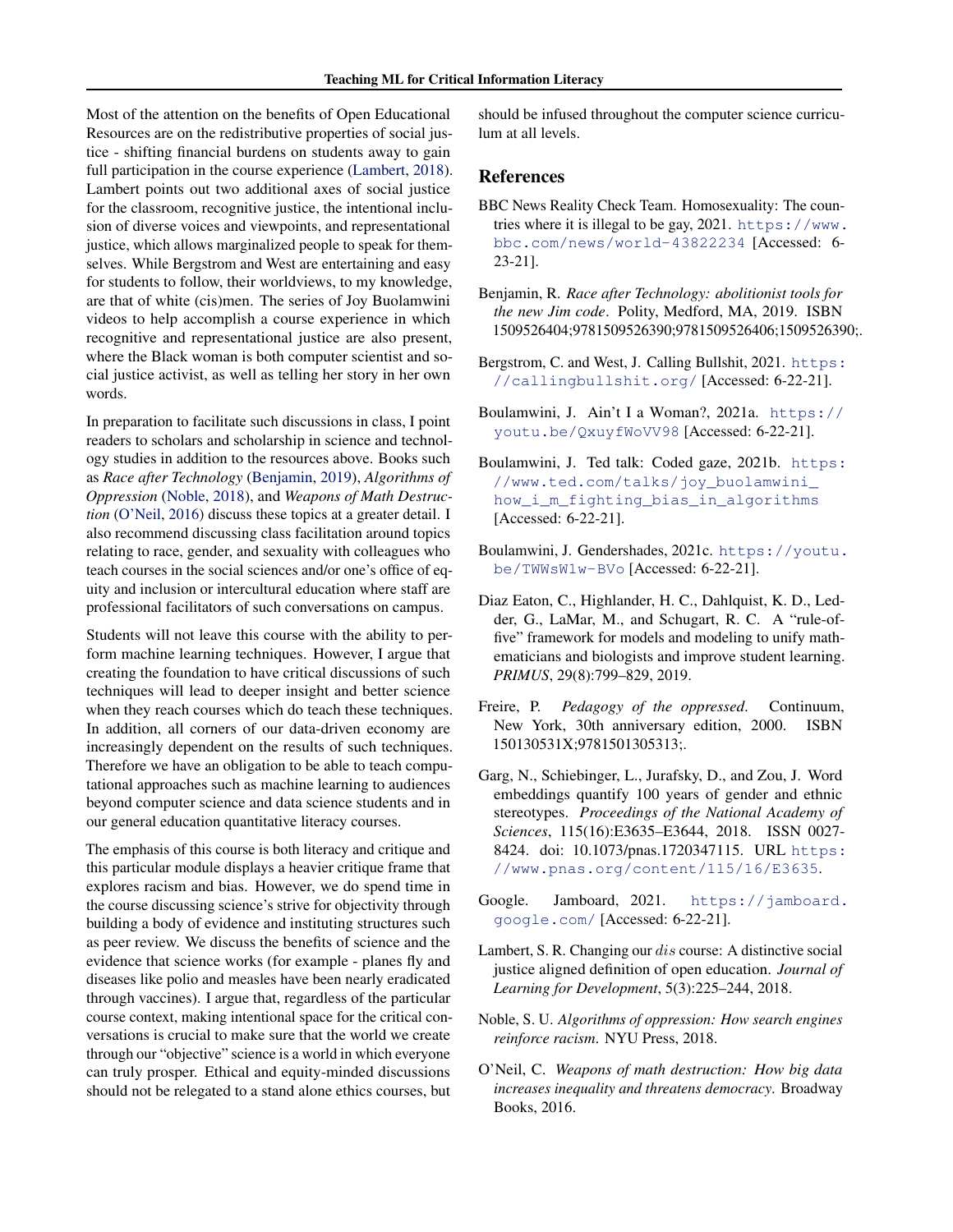<span id="page-4-0"></span>Most of the attention on the benefits of Open Educational Resources are on the redistributive properties of social justice - shifting financial burdens on students away to gain full participation in the course experience (Lambert, 2018). Lambert points out two additional axes of social justice for the classroom, recognitive justice, the intentional inclusion of diverse voices and viewpoints, and representational justice, which allows marginalized people to speak for themselves. While Bergstrom and West are entertaining and easy for students to follow, their worldviews, to my knowledge, are that of white (cis)men. The series of Joy Buolamwini videos to help accomplish a course experience in which recognitive and representational justice are also present, where the Black woman is both computer scientist and social justice activist, as well as telling her story in her own words.

In preparation to facilitate such discussions in class, I point readers to scholars and scholarship in science and technology studies in addition to the resources above. Books such as *Race after Technology* (Benjamin, 2019), *Algorithms of Oppression* (Noble, 2018), and *Weapons of Math Destruction* (O'Neil, 2016) discuss these topics at a greater detail. I also recommend discussing class facilitation around topics relating to race, gender, and sexuality with colleagues who teach courses in the social sciences and/or one's office of equity and inclusion or intercultural education where staff are professional facilitators of such conversations on campus.

Students will not leave this course with the ability to perform machine learning techniques. However, I argue that creating the foundation to have critical discussions of such techniques will lead to deeper insight and better science when they reach courses which do teach these techniques. In addition, all corners of our data-driven economy are increasingly dependent on the results of such techniques. Therefore we have an obligation to be able to teach computational approaches such as machine learning to audiences beyond computer science and data science students and in our general education quantitative literacy courses.

The emphasis of this course is both literacy and critique and this particular module displays a heavier critique frame that explores racism and bias. However, we do spend time in the course discussing science's strive for objectivity through building a body of evidence and instituting structures such as peer review. We discuss the benefits of science and the evidence that science works (for example - planes fly and diseases like polio and measles have been nearly eradicated through vaccines). I argue that, regardless of the particular course context, making intentional space for the critical conversations is crucial to make sure that the world we create through our "objective" science is a world in which everyone can truly prosper. Ethical and equity-minded discussions should not be relegated to a stand alone ethics courses, but should be infused throughout the computer science curriculum at all levels.

### References

- BBC News Reality Check Team. Homosexuality: The countries where it is illegal to be gay,  $2021$ . [https://www.](https://www.bbc.com/news/world-43822234) [bbc.com/news/world-43822234](https://www.bbc.com/news/world-43822234) [Accessed: 6- 23-21].
- Benjamin, R. *Race after Technology: abolitionist tools for the new Jim code*. Polity, Medford, MA, 2019. ISBN 1509526404;9781509526390;9781509526406;1509526390;.
- Bergstrom, C. and West, J. Calling Bullshit, 2021. [https:](https://callingbullshit.org/) [//callingbullshit.org/](https://callingbullshit.org/) [Accessed: 6-22-21].
- Boulamwini, J. Ain't I a Woman?, 2021a. [https://](https://youtu.be/QxuyfWoVV98) [youtu.be/QxuyfWoVV98](https://youtu.be/QxuyfWoVV98) [Accessed: 6-22-21].
- Boulamwini, J. Ted talk: Coded gaze, 2021b. [https:](https://www.ted.com/talks/joy_buolamwini_how_i_m_fighting_bias_in_algorithms) [//www.ted.com/talks/joy\\_buolamwini\\_](https://www.ted.com/talks/joy_buolamwini_how_i_m_fighting_bias_in_algorithms) how i m fighting bias in algorithms [Accessed: 6-22-21].
- Boulamwini, J. Gendershades, 2021c. [https://youtu.](https://youtu.be/TWWsW1w-BVo) [be/TWWsW1w-BVo](https://youtu.be/TWWsW1w-BVo) [Accessed: 6-22-21].
- Diaz Eaton, C., Highlander, H. C., Dahlquist, K. D., Ledder, G., LaMar, M., and Schugart, R. C. A "rule-offive" framework for models and modeling to unify mathematicians and biologists and improve student learning. *PRIMUS*, 29(8):799–829, 2019.
- Freire, P. *Pedagogy of the oppressed*. Continuum, New York, 30th anniversary edition, 2000. ISBN 150130531X;9781501305313;.
- Garg, N., Schiebinger, L., Jurafsky, D., and Zou, J. Word embeddings quantify 100 years of gender and ethnic stereotypes. *Proceedings of the National Academy of Sciences*, 115(16):E3635–E3644, 2018. ISSN 0027- 8424. doi: 10.1073/pnas.1720347115. URL [https:](https://www.pnas.org/content/115/16/E3635) [//www.pnas.org/content/115/16/E3635](https://www.pnas.org/content/115/16/E3635).
- Google. Jamboard, 2021. [https://jamboard.](https://jamboard.google.com/) [google.com/](https://jamboard.google.com/) [Accessed: 6-22-21].
- Lambert, S. R. Changing our dis course: A distinctive social justice aligned definition of open education. *Journal of Learning for Development*, 5(3):225–244, 2018.
- Noble, S. U. *Algorithms of oppression: How search engines reinforce racism*. NYU Press, 2018.
- O'Neil, C. *Weapons of math destruction: How big data increases inequality and threatens democracy*. Broadway Books, 2016.